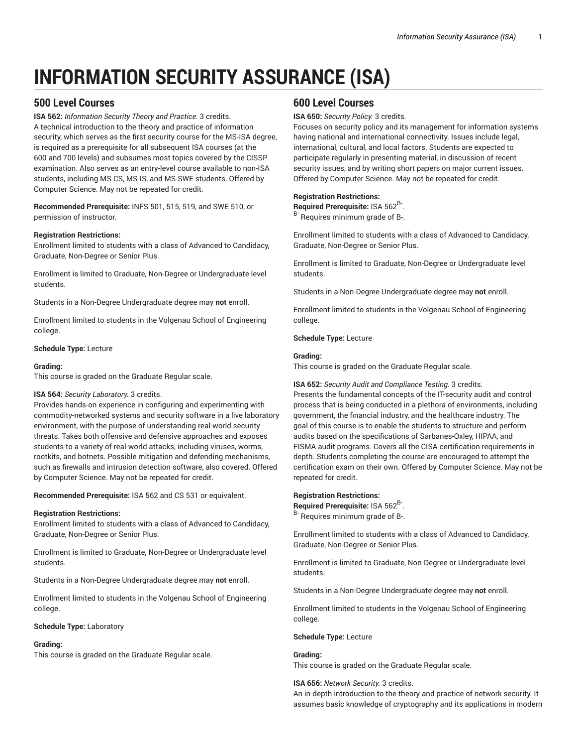# **INFORMATION SECURITY ASSURANCE (ISA)**

# **500 Level Courses**

**ISA 562:** *Information Security Theory and Practice.* 3 credits. A technical introduction to the theory and practice of information security, which serves as the first security course for the MS-ISA degree, is required as a prerequisite for all subsequent ISA courses (at the 600 and 700 levels) and subsumes most topics covered by the CISSP examination. Also serves as an entry-level course available to non-ISA students, including MS-CS, MS-IS, and MS-SWE students. Offered by Computer Science. May not be repeated for credit.

**Recommended Prerequisite:** INFS 501, 515, 519, and SWE 510, or permission of instructor.

# **Registration Restrictions:**

Enrollment limited to students with a class of Advanced to Candidacy, Graduate, Non-Degree or Senior Plus.

Enrollment is limited to Graduate, Non-Degree or Undergraduate level students.

Students in a Non-Degree Undergraduate degree may **not** enroll.

Enrollment limited to students in the Volgenau School of Engineering college.

# **Schedule Type:** Lecture

# **Grading:**

This course is graded on the Graduate Regular scale.

#### **ISA 564:** *Security Laboratory.* 3 credits.

Provides hands-on experience in configuring and experimenting with commodity-networked systems and security software in a live laboratory environment, with the purpose of understanding real-world security threats. Takes both offensive and defensive approaches and exposes students to a variety of real-world attacks, including viruses, worms, rootkits, and botnets. Possible mitigation and defending mechanisms, such as firewalls and intrusion detection software, also covered. Offered by Computer Science. May not be repeated for credit.

**Recommended Prerequisite:** ISA 562 and CS 531 or equivalent.

#### **Registration Restrictions:**

Enrollment limited to students with a class of Advanced to Candidacy, Graduate, Non-Degree or Senior Plus.

Enrollment is limited to Graduate, Non-Degree or Undergraduate level students.

Students in a Non-Degree Undergraduate degree may **not** enroll.

Enrollment limited to students in the Volgenau School of Engineering college.

#### **Schedule Type:** Laboratory

# **Grading:**

This course is graded on the Graduate Regular scale.

# **600 Level Courses**

#### **ISA 650:** *Security Policy.* 3 credits.

Focuses on security policy and its management for information systems having national and international connectivity. Issues include legal, international, cultural, and local factors. Students are expected to participate regularly in presenting material, in discussion of recent security issues, and by writing short papers on major current issues. Offered by Computer Science. May not be repeated for credit.

# **Registration Restrictions:**

Required Prerequisite: ISA 562<sup>B-</sup>.

<sup>B-</sup> Requires minimum grade of B-.

Enrollment limited to students with a class of Advanced to Candidacy, Graduate, Non-Degree or Senior Plus.

Enrollment is limited to Graduate, Non-Degree or Undergraduate level students.

Students in a Non-Degree Undergraduate degree may **not** enroll.

Enrollment limited to students in the Volgenau School of Engineering college.

#### **Schedule Type:** Lecture

# **Grading:**

This course is graded on the Graduate Regular scale.

**ISA 652:** *Security Audit and Compliance Testing.* 3 credits.

Presents the fundamental concepts of the IT-security audit and control process that is being conducted in a plethora of environments, including government, the financial industry, and the healthcare industry. The goal of this course is to enable the students to structure and perform audits based on the specifications of Sarbanes-Oxley, HIPAA, and FISMA audit programs. Covers all the CISA certification requirements in depth. Students completing the course are encouraged to attempt the certification exam on their own. Offered by Computer Science. May not be repeated for credit.

### **Registration Restrictions:**

Required Prerequisite: ISA 562<sup>B-</sup>. <sup>B-</sup> Requires minimum grade of B-.

Enrollment limited to students with a class of Advanced to Candidacy, Graduate, Non-Degree or Senior Plus.

Enrollment is limited to Graduate, Non-Degree or Undergraduate level students.

Students in a Non-Degree Undergraduate degree may **not** enroll.

Enrollment limited to students in the Volgenau School of Engineering college.

**Schedule Type:** Lecture

## **Grading:**

This course is graded on the Graduate Regular scale.

**ISA 656:** *Network Security.* 3 credits. An in-depth introduction to the theory and practice of network security. It assumes basic knowledge of cryptography and its applications in modern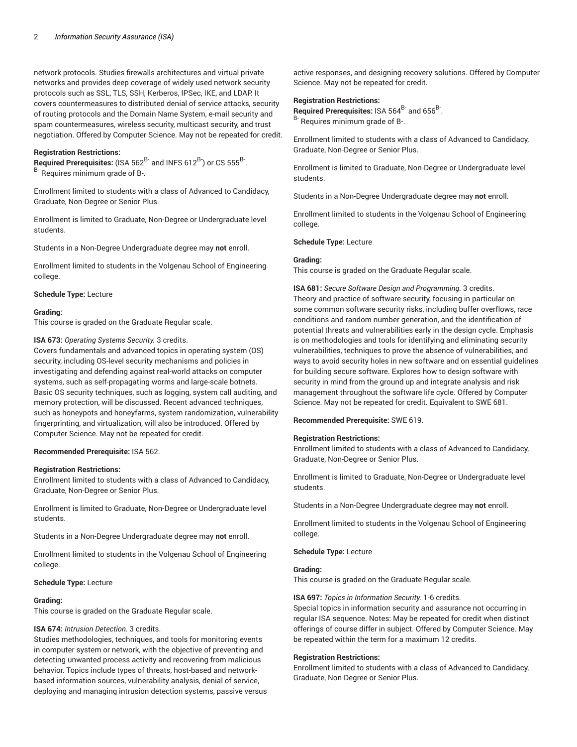network protocols. Studies firewalls architectures and virtual private networks and provides deep coverage of widely used network security protocols such as SSL, TLS, SSH, Kerberos, IPSec, IKE, and LDAP. It covers countermeasures to distributed denial of service attacks, security of routing protocols and the Domain Name System, e-mail security and spam countermeasures, wireless security, multicast security, and trust negotiation. Offered by Computer Science. May not be repeated for credit.

#### **Registration Restrictions:**

**Required Prerequisites:** (ISA 562 $^{B-}$  and INFS 612 $^{B-}$ ) or CS 555 $^{B-}$ . B- Requires minimum grade of B-.

Enrollment limited to students with a class of Advanced to Candidacy, Graduate, Non-Degree or Senior Plus.

Enrollment is limited to Graduate, Non-Degree or Undergraduate level students.

Students in a Non-Degree Undergraduate degree may **not** enroll.

Enrollment limited to students in the Volgenau School of Engineering college.

## **Schedule Type:** Lecture

#### **Grading:**

This course is graded on the Graduate Regular scale.

#### **ISA 673:** *Operating Systems Security.* 3 credits.

Covers fundamentals and advanced topics in operating system (OS) security, including OS-level security mechanisms and policies in investigating and defending against real-world attacks on computer systems, such as self-propagating worms and large-scale botnets. Basic OS security techniques, such as logging, system call auditing, and memory protection, will be discussed. Recent advanced techniques, such as honeypots and honeyfarms, system randomization, vulnerability fingerprinting, and virtualization, will also be introduced. Offered by Computer Science. May not be repeated for credit.

#### **Recommended Prerequisite:** ISA 562.

#### **Registration Restrictions:**

Enrollment limited to students with a class of Advanced to Candidacy, Graduate, Non-Degree or Senior Plus.

Enrollment is limited to Graduate, Non-Degree or Undergraduate level students.

Students in a Non-Degree Undergraduate degree may **not** enroll.

Enrollment limited to students in the Volgenau School of Engineering college.

#### **Schedule Type:** Lecture

#### **Grading:**

This course is graded on the Graduate Regular scale.

#### **ISA 674:** *Intrusion Detection.* 3 credits.

Studies methodologies, techniques, and tools for monitoring events in computer system or network, with the objective of preventing and detecting unwanted process activity and recovering from malicious behavior. Topics include types of threats, host-based and networkbased information sources, vulnerability analysis, denial of service, deploying and managing intrusion detection systems, passive versus

active responses, and designing recovery solutions. Offered by Computer Science. May not be repeated for credit.

#### **Registration Restrictions:**

 $\mathsf{Required}$  Prerequisites: ISA 564 $^\mathsf{B-}$  and 656 $^\mathsf{B-}$ . B- Requires minimum grade of B-.

Enrollment limited to students with a class of Advanced to Candidacy, Graduate, Non-Degree or Senior Plus.

Enrollment is limited to Graduate, Non-Degree or Undergraduate level students.

Students in a Non-Degree Undergraduate degree may **not** enroll.

Enrollment limited to students in the Volgenau School of Engineering college.

**Schedule Type:** Lecture

#### **Grading:**

This course is graded on the Graduate Regular scale.

**ISA 681:** *Secure Software Design and Programming.* 3 credits. Theory and practice of software security, focusing in particular on some common software security risks, including buffer overflows, race conditions and random number generation, and the identification of potential threats and vulnerabilities early in the design cycle. Emphasis is on methodologies and tools for identifying and eliminating security vulnerabilities, techniques to prove the absence of vulnerabilities, and ways to avoid security holes in new software and on essential guidelines for building secure software. Explores how to design software with security in mind from the ground up and integrate analysis and risk management throughout the software life cycle. Offered by Computer Science. May not be repeated for credit. Equivalent to SWE 681.

**Recommended Prerequisite:** SWE 619.

#### **Registration Restrictions:**

Enrollment limited to students with a class of Advanced to Candidacy, Graduate, Non-Degree or Senior Plus.

Enrollment is limited to Graduate, Non-Degree or Undergraduate level students.

Students in a Non-Degree Undergraduate degree may **not** enroll.

Enrollment limited to students in the Volgenau School of Engineering college.

#### **Schedule Type:** Lecture

#### **Grading:**

This course is graded on the Graduate Regular scale.

#### **ISA 697:** *Topics in Information Security.* 1-6 credits.

Special topics in information security and assurance not occurring in regular ISA sequence. Notes: May be repeated for credit when distinct offerings of course differ in subject. Offered by Computer Science. May be repeated within the term for a maximum 12 credits.

#### **Registration Restrictions:**

Enrollment limited to students with a class of Advanced to Candidacy, Graduate, Non-Degree or Senior Plus.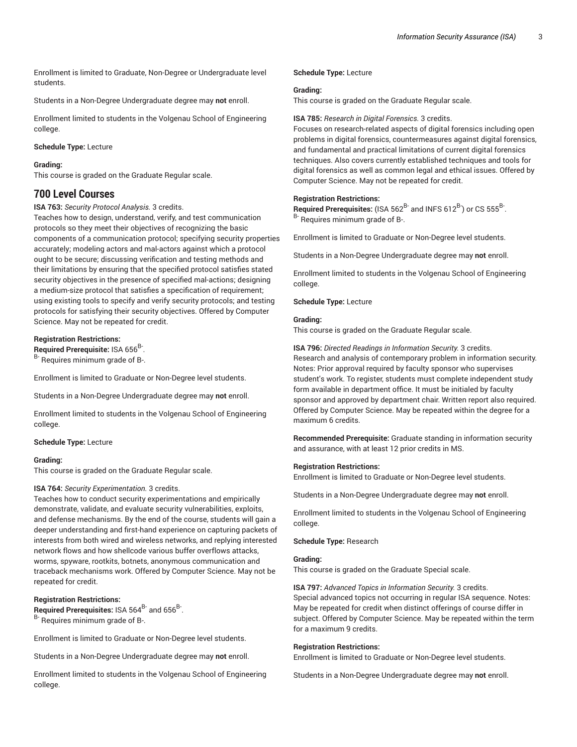Enrollment is limited to Graduate, Non-Degree or Undergraduate level students.

Students in a Non-Degree Undergraduate degree may **not** enroll.

Enrollment limited to students in the Volgenau School of Engineering college.

#### **Schedule Type:** Lecture

#### **Grading:**

This course is graded on the Graduate Regular scale.

# **700 Level Courses**

#### **ISA 763:** *Security Protocol Analysis.* 3 credits.

Teaches how to design, understand, verify, and test communication protocols so they meet their objectives of recognizing the basic components of a communication protocol; specifying security properties accurately; modeling actors and mal-actors against which a protocol ought to be secure; discussing verification and testing methods and their limitations by ensuring that the specified protocol satisfies stated security objectives in the presence of specified mal-actions; designing a medium-size protocol that satisfies a specification of requirement; using existing tools to specify and verify security protocols; and testing protocols for satisfying their security objectives. Offered by Computer Science. May not be repeated for credit.

#### **Registration Restrictions:**

Required Prerequisite: ISA 656<sup>B-</sup>.

B- Requires minimum grade of B-.

Enrollment is limited to Graduate or Non-Degree level students.

Students in a Non-Degree Undergraduate degree may **not** enroll.

Enrollment limited to students in the Volgenau School of Engineering college.

**Schedule Type:** Lecture

#### **Grading:**

This course is graded on the Graduate Regular scale.

## **ISA 764:** *Security Experimentation.* 3 credits.

Teaches how to conduct security experimentations and empirically demonstrate, validate, and evaluate security vulnerabilities, exploits, and defense mechanisms. By the end of the course, students will gain a deeper understanding and first-hand experience on capturing packets of interests from both wired and wireless networks, and replying interested network flows and how shellcode various buffer overflows attacks, worms, spyware, rootkits, botnets, anonymous communication and traceback mechanisms work. Offered by Computer Science. May not be repeated for credit.

### **Registration Restrictions:**

 $\mathsf{Required}$  Prerequisites: ISA 564 $^\mathsf{B-}$  and 656 $^\mathsf{B-}$ . B- Requires minimum grade of B-.

Enrollment is limited to Graduate or Non-Degree level students.

Students in a Non-Degree Undergraduate degree may **not** enroll.

Enrollment limited to students in the Volgenau School of Engineering college.

#### **Schedule Type:** Lecture

#### **Grading:**

This course is graded on the Graduate Regular scale.

#### **ISA 785:** *Research in Digital Forensics.* 3 credits.

Focuses on research-related aspects of digital forensics including open problems in digital forensics, countermeasures against digital forensics, and fundamental and practical limitations of current digital forensics techniques. Also covers currently established techniques and tools for digital forensics as well as common legal and ethical issues. Offered by Computer Science. May not be repeated for credit.

#### **Registration Restrictions:**

**Required Prerequisites:** (ISA 562 $^{B-}$  and INFS 612 $^{B}$ ) or CS 555 $^{B-}$ . B- Requires minimum grade of B-.

Enrollment is limited to Graduate or Non-Degree level students.

Students in a Non-Degree Undergraduate degree may **not** enroll.

Enrollment limited to students in the Volgenau School of Engineering college.

#### **Schedule Type:** Lecture

#### **Grading:**

This course is graded on the Graduate Regular scale.

**ISA 796:** *Directed Readings in Information Security.* 3 credits. Research and analysis of contemporary problem in information security. Notes: Prior approval required by faculty sponsor who supervises student's work. To register, students must complete independent study form available in department office. It must be initialed by faculty sponsor and approved by department chair. Written report also required. Offered by Computer Science. May be repeated within the degree for a maximum 6 credits.

**Recommended Prerequisite:** Graduate standing in information security and assurance, with at least 12 prior credits in MS.

#### **Registration Restrictions:**

Enrollment is limited to Graduate or Non-Degree level students.

Students in a Non-Degree Undergraduate degree may **not** enroll.

Enrollment limited to students in the Volgenau School of Engineering college.

#### **Schedule Type:** Research

# **Grading:**

This course is graded on the Graduate Special scale.

**ISA 797:** *Advanced Topics in Information Security.* 3 credits. Special advanced topics not occurring in regular ISA sequence. Notes: May be repeated for credit when distinct offerings of course differ in subject. Offered by Computer Science. May be repeated within the term for a maximum 9 credits.

#### **Registration Restrictions:**

Enrollment is limited to Graduate or Non-Degree level students.

Students in a Non-Degree Undergraduate degree may **not** enroll.